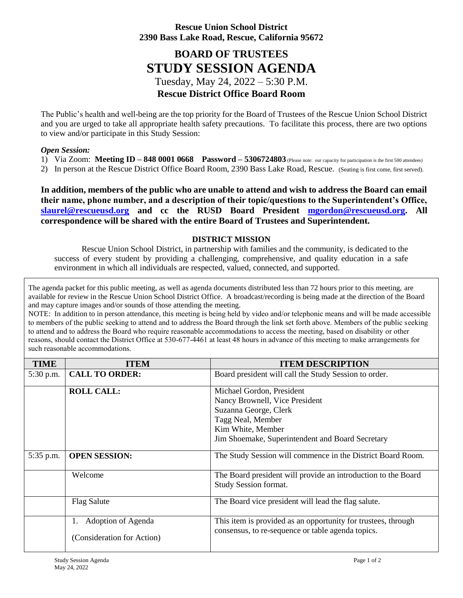## **Rescue Union School District 2390 Bass Lake Road, Rescue, California 95672**

## **BOARD OF TRUSTEES STUDY SESSION AGENDA** Tuesday, May 24, 2022 – 5:30 P.M. **Rescue District Office Board Room**

The Public's health and well-being are the top priority for the Board of Trustees of the Rescue Union School District and you are urged to take all appropriate health safety precautions. To facilitate this process, there are two options to view and/or participate in this Study Session:

## *Open Session:*

1) Via Zoom: **Meeting ID – 848 0001 0668 Password – 5306724803** (Please note: our capacity for participation is the first 500 attendees)

2) In person at the Rescue District Office Board Room, 2390 Bass Lake Road, Rescue. (Seating is first come, first served).

**In addition, members of the public who are unable to attend and wish to address the Board can email their name, phone number, and a description of their topic/questions to the Superintendent's Office, [slaurel@rescueusd.org](mailto:slaurel@rescueusd.org) and cc the RUSD Board President [mgordon@rescueusd.org.](mailto:mgordon@rescueusd.org) All correspondence will be shared with the entire Board of Trustees and Superintendent.**

## **DISTRICT MISSION**

Rescue Union School District, in partnership with families and the community, is dedicated to the success of every student by providing a challenging, comprehensive, and quality education in a safe environment in which all individuals are respected, valued, connected, and supported.

The agenda packet for this public meeting, as well as agenda documents distributed less than 72 hours prior to this meeting, are available for review in the Rescue Union School District Office. A broadcast/recording is being made at the direction of the Board and may capture images and/or sounds of those attending the meeting.

NOTE: In addition to in person attendance, this meeting is being held by video and/or telephonic means and will be made accessible to members of the public seeking to attend and to address the Board through the link set forth above. Members of the public seeking to attend and to address the Board who require reasonable accommodations to access the meeting, based on disability or other reasons, should contact the District Office at 530-677-4461 at least 48 hours in advance of this meeting to make arrangements for such reasonable accommodations.

| <b>TIME</b> | <b>ITEM</b>                | <b>ITEM DESCRIPTION</b>                                                                |
|-------------|----------------------------|----------------------------------------------------------------------------------------|
| 5:30 p.m.   | <b>CALL TO ORDER:</b>      | Board president will call the Study Session to order.                                  |
|             | <b>ROLL CALL:</b>          | Michael Gordon, President                                                              |
|             |                            | Nancy Brownell, Vice President                                                         |
|             |                            | Suzanna George, Clerk                                                                  |
|             |                            | Tagg Neal, Member                                                                      |
|             |                            | Kim White, Member                                                                      |
|             |                            | Jim Shoemake, Superintendent and Board Secretary                                       |
| 5:35 p.m.   | <b>OPEN SESSION:</b>       | The Study Session will commence in the District Board Room.                            |
|             | Welcome                    | The Board president will provide an introduction to the Board<br>Study Session format. |
|             | <b>Flag Salute</b>         | The Board vice president will lead the flag salute.                                    |
|             | Adoption of Agenda         | This item is provided as an opportunity for trustees, through                          |
|             | (Consideration for Action) | consensus, to re-sequence or table agenda topics.                                      |